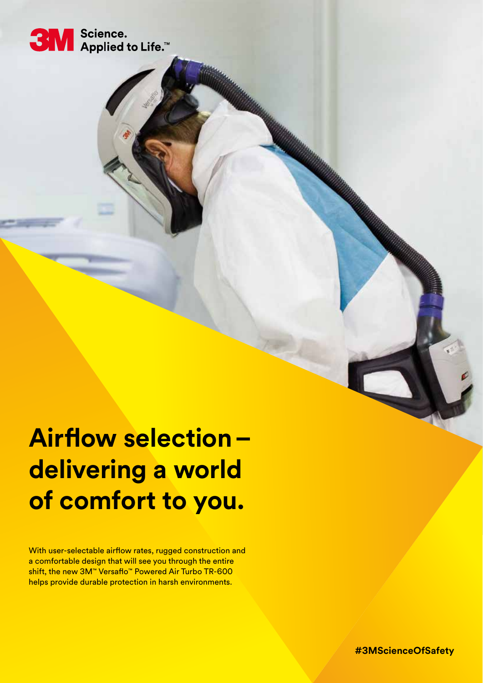

# **Airflow selection – delivering a world of comfort to you.**

With user-selectable airflow rates, rugged construction and a comfortable design that will see you through the entire shift, the new 3M™ Versaflo™ Powered Air Turbo TR-600 helps provide durable protection in harsh environments.

**#3MScienceOfSafety**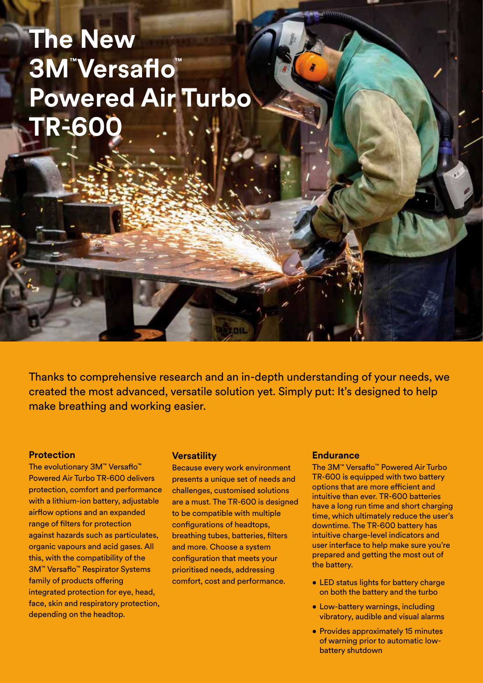## **The New 3M™ Versaflo™ Powered Air Turbo TR-600**

Thanks to comprehensive research and an in-depth understanding of your needs, we created the most advanced, versatile solution yet. Simply put: It's designed to help make breathing and working easier.

#### **Protection**

The evolutionary 3M™ Versaflo™ Powered Air Turbo TR-600 delivers protection, comfort and performance with a lithium-ion battery, adjustable airflow options and an expanded range of filters for protection against hazards such as particulates, organic vapours and acid gases. All this, with the compatibility of the 3M™ Versaflo™ Respirator Systems family of products offering integrated protection for eye, head, face, skin and respiratory protection, depending on the headtop.

#### **Versatility**

Because every work environment presents a unique set of needs and challenges, customised solutions are a must. The TR-600 is designed to be compatible with multiple configurations of headtops, breathing tubes, batteries, filters and more. Choose a system configuration that meets your prioritised needs, addressing comfort, cost and performance.

#### **Endurance**

The 3M™ Versaflo™ Powered Air Turbo TR-600 is equipped with two battery options that are more efficient and intuitive than ever. TR-600 batteries have a long run time and short charging time, which ultimately reduce the user's downtime. The TR-600 battery has intuitive charge-level indicators and user interface to help make sure you're prepared and getting the most out of the battery.

- LED status lights for battery charge on both the battery and the turbo
- Low-battery warnings, including vibratory, audible and visual alarms
- Provides approximately 15 minutes of warning prior to automatic lowbattery shutdown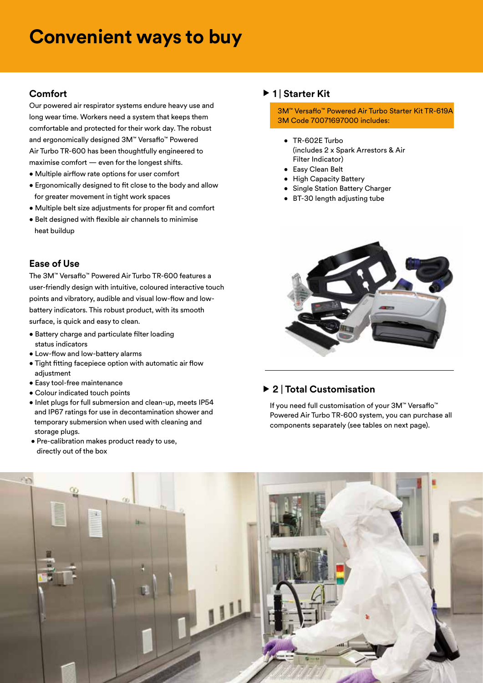### **Convenient ways to buy**

#### **Comfort**

Our powered air respirator systems endure heavy use and long wear time. Workers need a system that keeps them comfortable and protected for their work day. The robust and ergonomically designed 3M™ Versaflo™ Powered Air Turbo TR-600 has been thoughtfully engineered to maximise comfort — even for the longest shifts.

- Multiple airflow rate options for user comfort
- Ergonomically designed to fit close to the body and allow for greater movement in tight work spaces
- Multiple belt size adjustments for proper fit and comfort
- Belt designed with flexible air channels to minimise heat buildup

#### **Ease of Use**

The 3M™ Versaflo™ Powered Air Turbo TR-600 features a user-friendly design with intuitive, coloured interactive touch points and vibratory, audible and visual low-flow and lowbattery indicators. This robust product, with its smooth surface, is quick and easy to clean.

- Battery charge and particulate filter loading status indicators
- Low-flow and low-battery alarms
- Tight fitting facepiece option with automatic air flow adjustment
- Easy tool-free maintenance
- Colour indicated touch points
- Inlet plugs for full submersion and clean-up, meets IP54 and IP67 ratings for use in decontamination shower and temporary submersion when used with cleaning and storage plugs.
- Pre-calibration makes product ready to use, directly out of the box

#### ▶ 1 | Starter Kit

3M™ Versaflo™ Powered Air Turbo Starter Kit TR-619A 3M Code 70071697000 includes:

- • TR-602E Turbo (includes 2 x Spark Arrestors & Air Filter Indicator)
- Easy Clean Belt
- High Capacity Battery
- Single Station Battery Charger
- BT-30 length adjusting tube



#### **2** | **Total Customisation**

If you need full customisation of your 3M™ Versaflo™ Powered Air Turbo TR-600 system, you can purchase all components separately (see tables on next page).